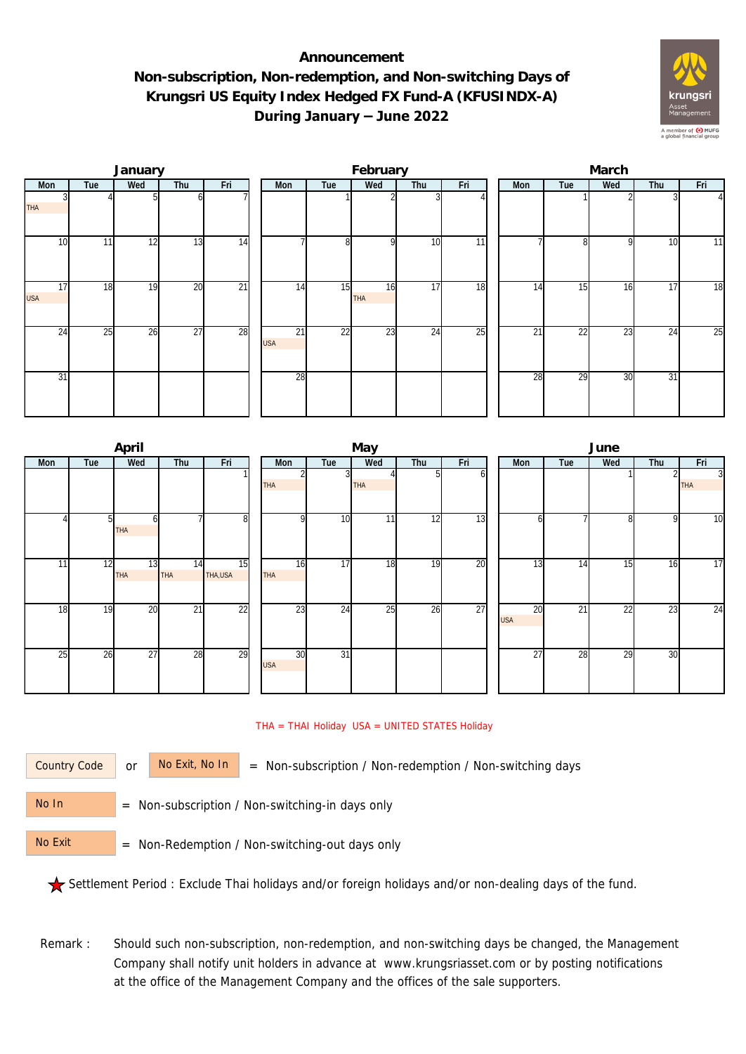## **Announcement Non-subscription, Non-redemption, and Non-switching Days of Krungsri US Equity Index Hedged FX Fund-A (KFUSINDX-A) During January – June 2022**



|                  |     | January |                 |                 |  |                  | February |                  |                 | March           |     |                 |     |     |          |  |
|------------------|-----|---------|-----------------|-----------------|--|------------------|----------|------------------|-----------------|-----------------|-----|-----------------|-----|-----|----------|--|
| Mon              | Tue | Wed     | Thu             | Fri             |  | Mon              | Tue      | Wed              | Thu             | Fri             | Mon | Tue             | Wed | Thu | Fri      |  |
| <b>THA</b>       |     |         |                 |                 |  |                  |          |                  |                 |                 |     |                 |     |     | $\Delta$ |  |
| 10               | 11  | 12      | 13              | $\overline{14}$ |  |                  | 8        | <sup>Q</sup>     | 10              | $\overline{11}$ |     | 81              | 9   | 10  | 11       |  |
| 17<br><b>USA</b> | 18  | 19      | 20              | $\overline{21}$ |  | 14               | 15       | 16<br><b>THA</b> | 17              | 18              | 14  | 15              | 16  | 17  | 18       |  |
| 24               | 25  | 26      | $\overline{27}$ | 28              |  | 21<br><b>USA</b> | 22       | 23               | $2\overline{4}$ | 25              | 21  | $2\overline{2}$ | 23  | 24  | 25       |  |
| 31               |     |         |                 |                 |  | 28               |          |                  |                 |                 | 28  | 29              | 30  | 31  |          |  |

|     |                | April            |                  |                 |                  |                 | May        |     |     | June |                               |                 |                 |     |                              |  |
|-----|----------------|------------------|------------------|-----------------|------------------|-----------------|------------|-----|-----|------|-------------------------------|-----------------|-----------------|-----|------------------------------|--|
| Mon | Tue            | Wed              | Thu              | Fri             | Mon              | Tue             | Wed        | Thu | Fri |      | <b>Mon</b>                    | Tue             | Wed             | Thu | Fri                          |  |
|     |                |                  |                  |                 | <b>THA</b>       |                 | <b>THA</b> |     | ωI  |      |                               |                 |                 |     | $\overline{3}$<br><b>THA</b> |  |
|     | 5 <sub>l</sub> | h<br>THA         |                  | 8               | <sup>Q</sup>     | 10              | 11         | 12  | 13  |      | <sub>0</sub>                  |                 | 8               | 9   | 10                           |  |
| 11  | 12             | 13<br><b>THA</b> | 14<br><b>THA</b> | 15<br>THA, USA  | 16<br><b>THA</b> | 17              | 18         | 19  | 20  |      | 13                            | 14              | 15              | 16  | 17                           |  |
| 18  | 19             | 20               | $\overline{21}$  | $\overline{22}$ | 23               | 24              | 25         | 26  | 27  |      | $\overline{20}$<br><b>USA</b> | $\overline{21}$ | $\overline{22}$ | 23  | 24                           |  |
| 25  | 26             | $\overline{27}$  | 28               | 29              | 30<br><b>USA</b> | $\overline{31}$ |            |     |     |      | 27                            | 28              | 29              | 30  |                              |  |

## THA = THAI Holiday USA = UNITED STATES Holiday

Country Code

or  $\overline{\phantom{a}}$  No Exit, No In  $\overline{\phantom{a}}$  = Non-subscription / Non-redemption / Non-switching days

 = Non-subscription / Non-switching-in days only No In

 = Non-Redemption / Non-switching-out days only No Exit

Settlement Period : Exclude Thai holidays and/or foreign holidays and/or non-dealing days of the fund.

Remark : Should such non-subscription, non-redemption, and non-switching days be changed, the Management Company shall notify unit holders in advance at www.krungsriasset.com or by posting notifications at the office of the Management Company and the offices of the sale supporters.